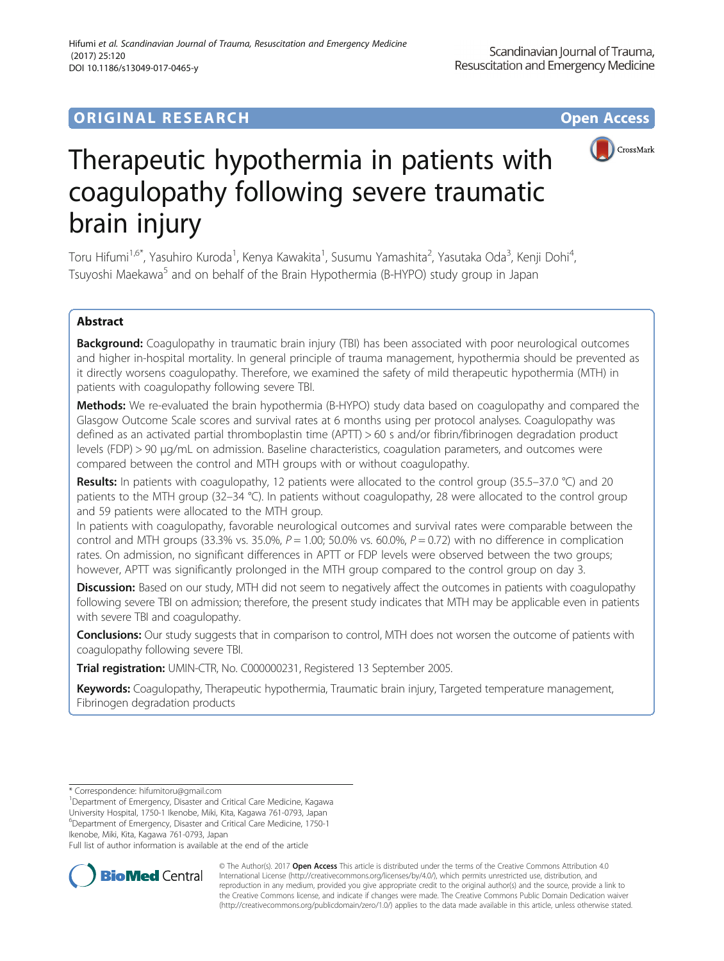## **ORIGINAL RESEARCH CONFIDENTIAL CONFIDENTIAL CONFIDENTIAL CONFIDENTIAL CONFIDENTIAL CONFIDENTIAL CONFIDENTIAL CONFIDENTIAL CONFIDENTIAL CONFIDENTIAL CONFIDENTIAL CONFIDENTIAL CONFIDENTIAL CONFIDENTIAL CONFIDENTIAL CONFIDEN**



# Therapeutic hypothermia in patients with coagulopathy following severe traumatic brain injury

Toru Hifumi<sup>1,6\*</sup>, Yasuhiro Kuroda<sup>1</sup>, Kenya Kawakita<sup>1</sup>, Susumu Yamashita<sup>2</sup>, Yasutaka Oda<sup>3</sup>, Kenji Dohi<sup>4</sup> , Tsuyoshi Maekawa<sup>5</sup> and on behalf of the Brain Hypothermia (B-HYPO) study group in Japan

## Abstract

Background: Coagulopathy in traumatic brain injury (TBI) has been associated with poor neurological outcomes and higher in-hospital mortality. In general principle of trauma management, hypothermia should be prevented as it directly worsens coagulopathy. Therefore, we examined the safety of mild therapeutic hypothermia (MTH) in patients with coagulopathy following severe TBI.

**Methods:** We re-evaluated the brain hypothermia (B-HYPO) study data based on coagulopathy and compared the Glasgow Outcome Scale scores and survival rates at 6 months using per protocol analyses. Coagulopathy was defined as an activated partial thromboplastin time (APTT) > 60 s and/or fibrin/fibrinogen degradation product levels (FDP) > 90 μg/mL on admission. Baseline characteristics, coagulation parameters, and outcomes were compared between the control and MTH groups with or without coagulopathy.

Results: In patients with coagulopathy, 12 patients were allocated to the control group (35.5–37.0 °C) and 20 patients to the MTH group (32–34 °C). In patients without coagulopathy, 28 were allocated to the control group and 59 patients were allocated to the MTH group.

In patients with coagulopathy, favorable neurological outcomes and survival rates were comparable between the control and MTH groups (33.3% vs. 35.0%,  $P = 1.00$ ; 50.0% vs. 60.0%,  $P = 0.72$ ) with no difference in complication rates. On admission, no significant differences in APTT or FDP levels were observed between the two groups; however, APTT was significantly prolonged in the MTH group compared to the control group on day 3.

**Discussion:** Based on our study, MTH did not seem to negatively affect the outcomes in patients with coagulopathy following severe TBI on admission; therefore, the present study indicates that MTH may be applicable even in patients with severe TBI and coagulopathy.

Conclusions: Our study suggests that in comparison to control, MTH does not worsen the outcome of patients with coagulopathy following severe TBI.

Trial registration: UMIN-CTR, No. [C000000231](https://upload.umin.ac.jp/cgi-open-bin/ctr/ctr_view.cgi?recptno=R000000293), Registered 13 September 2005.

Keywords: Coagulopathy, Therapeutic hypothermia, Traumatic brain injury, Targeted temperature management, Fibrinogen degradation products

Ikenobe, Miki, Kita, Kagawa 761-0793, Japan

Full list of author information is available at the end of the article



© The Author(s). 2017 **Open Access** This article is distributed under the terms of the Creative Commons Attribution 4.0 International License [\(http://creativecommons.org/licenses/by/4.0/](http://creativecommons.org/licenses/by/4.0/)), which permits unrestricted use, distribution, and reproduction in any medium, provided you give appropriate credit to the original author(s) and the source, provide a link to the Creative Commons license, and indicate if changes were made. The Creative Commons Public Domain Dedication waiver [\(http://creativecommons.org/publicdomain/zero/1.0/](http://creativecommons.org/publicdomain/zero/1.0/)) applies to the data made available in this article, unless otherwise stated.

<sup>\*</sup> Correspondence: [hifumitoru@gmail.com](mailto:hifumitoru@gmail.com) <sup>1</sup>

<sup>&</sup>lt;sup>1</sup>Department of Emergency, Disaster and Critical Care Medicine, Kagawa University Hospital, 1750-1 Ikenobe, Miki, Kita, Kagawa 761-0793, Japan 6 Department of Emergency, Disaster and Critical Care Medicine, 1750-1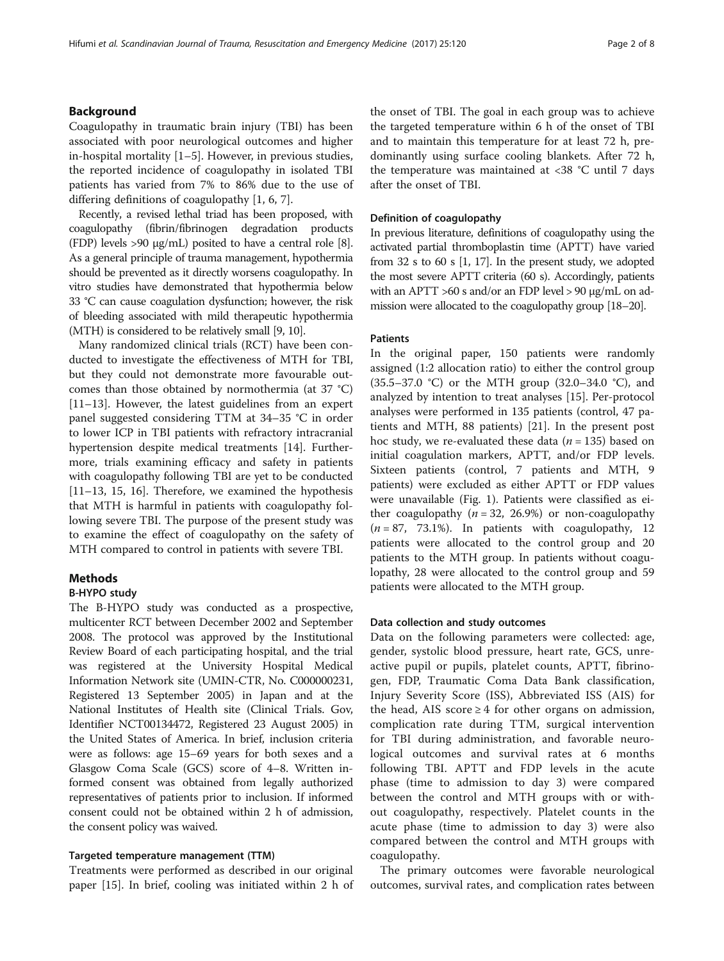## Background

Coagulopathy in traumatic brain injury (TBI) has been associated with poor neurological outcomes and higher in-hospital mortality [[1](#page-7-0)–[5](#page-7-0)]. However, in previous studies, the reported incidence of coagulopathy in isolated TBI patients has varied from 7% to 86% due to the use of differing definitions of coagulopathy [\[1, 6, 7\]](#page-7-0).

Recently, a revised lethal triad has been proposed, with coagulopathy (fibrin/fibrinogen degradation products (FDP) levels  $>90 \mu g/mL$ ) posited to have a central role [[8](#page-7-0)]. As a general principle of trauma management, hypothermia should be prevented as it directly worsens coagulopathy. In vitro studies have demonstrated that hypothermia below 33 °C can cause coagulation dysfunction; however, the risk of bleeding associated with mild therapeutic hypothermia (MTH) is considered to be relatively small [[9](#page-7-0), [10](#page-7-0)].

Many randomized clinical trials (RCT) have been conducted to investigate the effectiveness of MTH for TBI, but they could not demonstrate more favourable outcomes than those obtained by normothermia (at 37 °C) [[11](#page-7-0)–[13](#page-7-0)]. However, the latest guidelines from an expert panel suggested considering TTM at 34–35 °C in order to lower ICP in TBI patients with refractory intracranial hypertension despite medical treatments [\[14](#page-7-0)]. Furthermore, trials examining efficacy and safety in patients with coagulopathy following TBI are yet to be conducted [[11](#page-7-0)–[13](#page-7-0), [15](#page-7-0), [16](#page-7-0)]. Therefore, we examined the hypothesis that MTH is harmful in patients with coagulopathy following severe TBI. The purpose of the present study was to examine the effect of coagulopathy on the safety of MTH compared to control in patients with severe TBI.

## Methods

### B-HYPO study

The B-HYPO study was conducted as a prospective, multicenter RCT between December 2002 and September 2008. The protocol was approved by the Institutional Review Board of each participating hospital, and the trial was registered at the University Hospital Medical Information Network site (UMIN-CTR, No. C000000231, Registered 13 September 2005) in Japan and at the National Institutes of Health site (Clinical Trials. Gov, Identifier NCT00134472, Registered 23 August 2005) in the United States of America. In brief, inclusion criteria were as follows: age 15–69 years for both sexes and a Glasgow Coma Scale (GCS) score of 4–8. Written informed consent was obtained from legally authorized representatives of patients prior to inclusion. If informed consent could not be obtained within 2 h of admission, the consent policy was waived.

## Targeted temperature management (TTM)

Treatments were performed as described in our original paper [[15\]](#page-7-0). In brief, cooling was initiated within 2 h of

the onset of TBI. The goal in each group was to achieve the targeted temperature within 6 h of the onset of TBI and to maintain this temperature for at least 72 h, predominantly using surface cooling blankets. After 72 h, the temperature was maintained at <38 °C until 7 days after the onset of TBI.

## Definition of coagulopathy

In previous literature, definitions of coagulopathy using the activated partial thromboplastin time (APTT) have varied from 32 s to 60 s [[1](#page-7-0), [17\]](#page-7-0). In the present study, we adopted the most severe APTT criteria (60 s). Accordingly, patients with an APTT >60 s and/or an FDP level > 90 μg/mL on admission were allocated to the coagulopathy group [\[18](#page-7-0)–[20\]](#page-7-0).

### Patients

In the original paper, 150 patients were randomly assigned (1:2 allocation ratio) to either the control group (35.5–37.0 °C) or the MTH group (32.0–34.0 °C), and analyzed by intention to treat analyses [[15\]](#page-7-0). Per-protocol analyses were performed in 135 patients (control, 47 patients and MTH, 88 patients) [\[21](#page-7-0)]. In the present post hoc study, we re-evaluated these data ( $n = 135$ ) based on initial coagulation markers, APTT, and/or FDP levels. Sixteen patients (control, 7 patients and MTH, 9 patients) were excluded as either APTT or FDP values were unavailable (Fig. [1\)](#page-2-0). Patients were classified as either coagulopathy ( $n = 32, 26.9%$ ) or non-coagulopathy  $(n = 87, 73.1\%)$ . In patients with coagulopathy, 12 patients were allocated to the control group and 20 patients to the MTH group. In patients without coagulopathy, 28 were allocated to the control group and 59 patients were allocated to the MTH group.

## Data collection and study outcomes

Data on the following parameters were collected: age, gender, systolic blood pressure, heart rate, GCS, unreactive pupil or pupils, platelet counts, APTT, fibrinogen, FDP, Traumatic Coma Data Bank classification, Injury Severity Score (ISS), Abbreviated ISS (AIS) for the head, AIS score  $\geq$  4 for other organs on admission, complication rate during TTM, surgical intervention for TBI during administration, and favorable neurological outcomes and survival rates at 6 months following TBI. APTT and FDP levels in the acute phase (time to admission to day 3) were compared between the control and MTH groups with or without coagulopathy, respectively. Platelet counts in the acute phase (time to admission to day 3) were also compared between the control and MTH groups with coagulopathy.

The primary outcomes were favorable neurological outcomes, survival rates, and complication rates between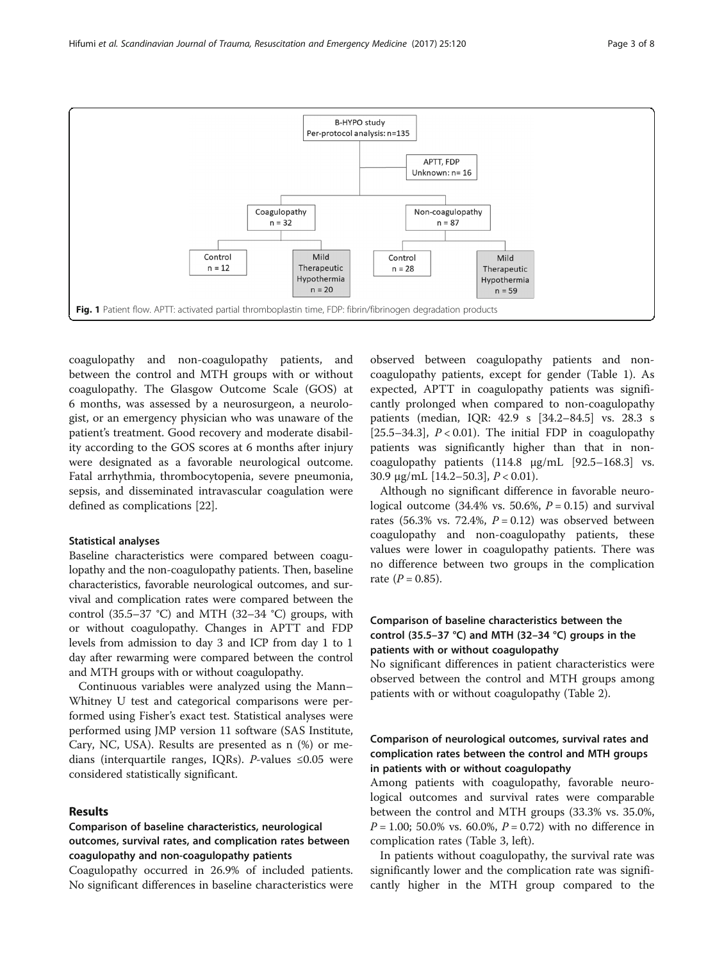<span id="page-2-0"></span>

coagulopathy and non-coagulopathy patients, and between the control and MTH groups with or without coagulopathy. The Glasgow Outcome Scale (GOS) at 6 months, was assessed by a neurosurgeon, a neurologist, or an emergency physician who was unaware of the patient's treatment. Good recovery and moderate disability according to the GOS scores at 6 months after injury were designated as a favorable neurological outcome. Fatal arrhythmia, thrombocytopenia, severe pneumonia, sepsis, and disseminated intravascular coagulation were defined as complications [[22\]](#page-7-0).

#### Statistical analyses

Baseline characteristics were compared between coagulopathy and the non-coagulopathy patients. Then, baseline characteristics, favorable neurological outcomes, and survival and complication rates were compared between the control (35.5–37 °C) and MTH (32–34 °C) groups, with or without coagulopathy. Changes in APTT and FDP levels from admission to day 3 and ICP from day 1 to 1 day after rewarming were compared between the control and MTH groups with or without coagulopathy.

Continuous variables were analyzed using the Mann– Whitney U test and categorical comparisons were performed using Fisher's exact test. Statistical analyses were performed using JMP version 11 software (SAS Institute, Cary, NC, USA). Results are presented as n (%) or medians (interquartile ranges, IQRs). P-values  $\leq 0.05$  were considered statistically significant.

### Results

## Comparison of baseline characteristics, neurological outcomes, survival rates, and complication rates between coagulopathy and non-coagulopathy patients

Coagulopathy occurred in 26.9% of included patients. No significant differences in baseline characteristics were observed between coagulopathy patients and noncoagulopathy patients, except for gender (Table [1\)](#page-3-0). As expected, APTT in coagulopathy patients was significantly prolonged when compared to non-coagulopathy patients (median, IQR: 42.9 s [34.2–84.5] vs. 28.3 s [25.5–34.3],  $P < 0.01$ ). The initial FDP in coagulopathy patients was significantly higher than that in noncoagulopathy patients (114.8 μg/mL [92.5–168.3] vs. 30.9 μg/mL [14.2–50.3], P < 0.01).

Although no significant difference in favorable neurological outcome  $(34.4\% \text{ vs. } 50.6\%, P = 0.15)$  and survival rates (56.3% vs. 72.4%,  $P = 0.12$ ) was observed between coagulopathy and non-coagulopathy patients, these values were lower in coagulopathy patients. There was no difference between two groups in the complication rate  $(P = 0.85)$ .

## Comparison of baseline characteristics between the control (35.5–37 °C) and MTH (32–34 °C) groups in the patients with or without coagulopathy

No significant differences in patient characteristics were observed between the control and MTH groups among patients with or without coagulopathy (Table [2](#page-4-0)).

## Comparison of neurological outcomes, survival rates and complication rates between the control and MTH groups in patients with or without coagulopathy

Among patients with coagulopathy, favorable neurological outcomes and survival rates were comparable between the control and MTH groups (33.3% vs. 35.0%,  $P = 1.00$ ; 50.0% vs. 60.0%,  $P = 0.72$ ) with no difference in complication rates (Table [3](#page-4-0), left).

In patients without coagulopathy, the survival rate was significantly lower and the complication rate was significantly higher in the MTH group compared to the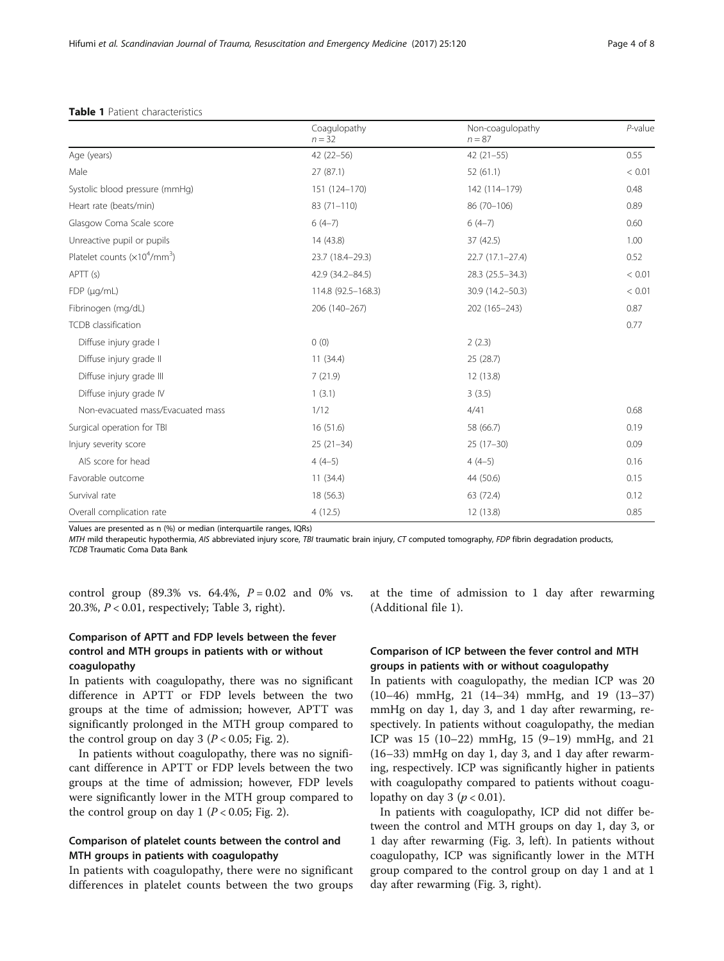|                                                                      | Coagulopathy<br>$n = 32$ | Non-coagulopathy<br>$n = 87$ | $P$ -value |
|----------------------------------------------------------------------|--------------------------|------------------------------|------------|
| Age (years)                                                          | $42(22 - 56)$            | $42(21-55)$                  | 0.55       |
| Male                                                                 | 27(87.1)                 | 52(61.1)                     | < 0.01     |
| Systolic blood pressure (mmHg)                                       | 151 (124-170)            | 142 (114-179)                | 0.48       |
| Heart rate (beats/min)                                               | $83(71 - 110)$           | 86 (70-106)                  | 0.89       |
| Glasgow Coma Scale score                                             | $6(4-7)$                 | $6(4-7)$                     | 0.60       |
| Unreactive pupil or pupils                                           | 14(43.8)                 | 37 (42.5)                    | 1.00       |
| Platelet counts $(x10^4/\text{mm}^3)$                                | 23.7 (18.4-29.3)         | $22.7(17.1-27.4)$            | 0.52       |
| APT(s)                                                               | 42.9 (34.2-84.5)         | 28.3 (25.5-34.3)             | < 0.01     |
| $FDP$ ( $\mu$ g/mL)                                                  | 114.8 (92.5-168.3)       | 30.9 (14.2-50.3)             | < 0.01     |
| Fibrinogen (mg/dL)                                                   | 206 (140-267)            | 202 (165-243)                | 0.87       |
| TCDB classification                                                  |                          |                              | 0.77       |
| Diffuse injury grade I                                               | 0(0)                     | 2(2.3)                       |            |
| Diffuse injury grade II                                              | 11(34.4)                 | 25(28.7)                     |            |
| Diffuse injury grade III                                             | 7(21.9)                  | 12 (13.8)                    |            |
| Diffuse injury grade IV                                              | 1(3.1)                   | 3(3.5)                       |            |
| Non-evacuated mass/Evacuated mass                                    | 1/12                     | 4/41                         | 0.68       |
| Surgical operation for TBI                                           | 16(51.6)                 | 58 (66.7)                    | 0.19       |
| Injury severity score                                                | $25(21-34)$              | $25(17-30)$                  | 0.09       |
| AIS score for head                                                   | $4(4-5)$                 | $4(4-5)$                     | 0.16       |
| Favorable outcome                                                    | 11(34.4)                 | 44 (50.6)                    | 0.15       |
| Survival rate                                                        | 18 (56.3)                | 63 (72.4)                    | 0.12       |
| Overall complication rate                                            | 4(12.5)                  | 12 (13.8)                    | 0.85       |
| Values are presented as n (%) or modian (interguartile ranges, IOBs) |                          |                              |            |

## <span id="page-3-0"></span>Table 1 Patient characteristics

Values are presented as n (%) or median (interquartile ranges, IQRs)

MTH mild therapeutic hypothermia, AIS abbreviated injury score, TBI traumatic brain injury, CT computed tomography, FDP fibrin degradation products, TCDB Traumatic Coma Data Bank

control group (89.3% vs. 64.4%,  $P = 0.02$  and 0% vs. 20.3%,  $P < 0.01$ , respectively; Table [3,](#page-4-0) right).

## Comparison of APTT and FDP levels between the fever control and MTH groups in patients with or without coagulopathy

In patients with coagulopathy, there was no significant difference in APTT or FDP levels between the two groups at the time of admission; however, APTT was significantly prolonged in the MTH group compared to the control group on day 3 ( $P < 0.05$ ; Fig. [2](#page-5-0)).

In patients without coagulopathy, there was no significant difference in APTT or FDP levels between the two groups at the time of admission; however, FDP levels were significantly lower in the MTH group compared to the control group on day 1 ( $P < 0.05$ ; Fig. [2](#page-5-0)).

## Comparison of platelet counts between the control and MTH groups in patients with coagulopathy

In patients with coagulopathy, there were no significant differences in platelet counts between the two groups

at the time of admission to 1 day after rewarming (Additional file [1\)](#page-6-0).

## Comparison of ICP between the fever control and MTH groups in patients with or without coagulopathy

In patients with coagulopathy, the median ICP was 20 (10–46) mmHg, 21 (14–34) mmHg, and 19 (13–37) mmHg on day 1, day 3, and 1 day after rewarming, respectively. In patients without coagulopathy, the median ICP was 15 (10–22) mmHg, 15 (9–19) mmHg, and 21 (16–33) mmHg on day 1, day 3, and 1 day after rewarming, respectively. ICP was significantly higher in patients with coagulopathy compared to patients without coagulopathy on day 3 ( $p < 0.01$ ).

In patients with coagulopathy, ICP did not differ between the control and MTH groups on day 1, day 3, or 1 day after rewarming (Fig. [3](#page-5-0), left). In patients without coagulopathy, ICP was significantly lower in the MTH group compared to the control group on day 1 and at 1 day after rewarming (Fig. [3](#page-5-0), right).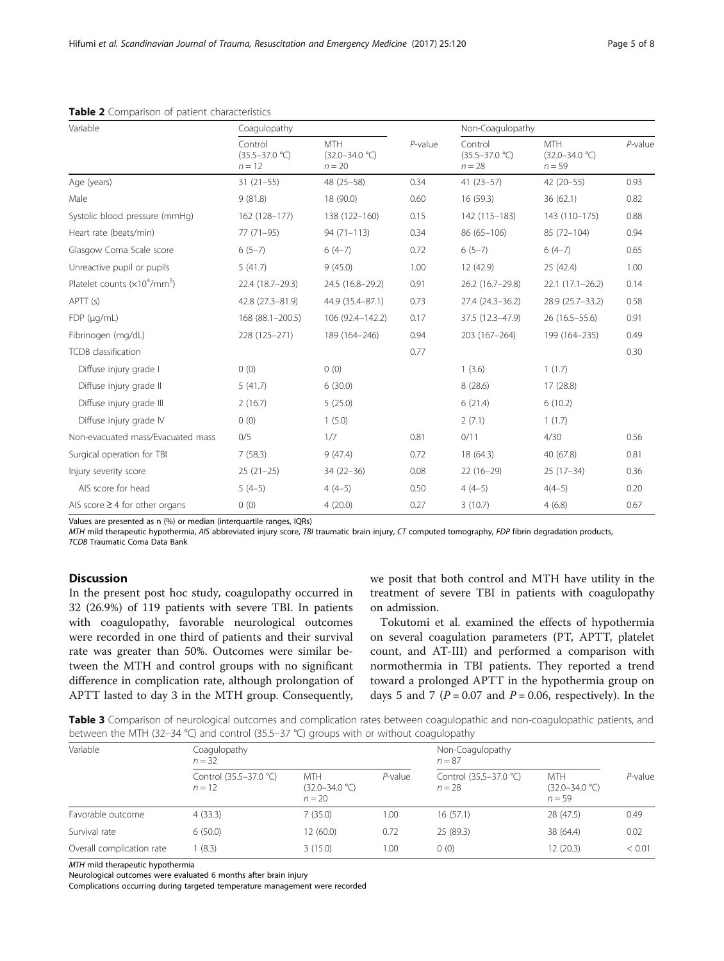| Variable                              | Coagulopathy                              |                                              |            | Non-Coagulopathy                          |                                              |            |
|---------------------------------------|-------------------------------------------|----------------------------------------------|------------|-------------------------------------------|----------------------------------------------|------------|
|                                       | Control<br>$(35.5 - 37.0 °C)$<br>$n = 12$ | <b>MTH</b><br>$(32.0 - 34.0 °C)$<br>$n = 20$ | $P$ -value | Control<br>$(35.5 - 37.0 °C)$<br>$n = 28$ | <b>MTH</b><br>$(32.0 - 34.0 °C)$<br>$n = 59$ | $P$ -value |
| Age (years)                           | $31(21-55)$                               | 48 (25-58)                                   | 0.34       | $41(23-57)$                               | $42(20 - 55)$                                | 0.93       |
| Male                                  | 9(81.8)                                   | 18 (90.0)                                    | 0.60       | 16(59.3)                                  | 36(62.1)                                     | 0.82       |
| Systolic blood pressure (mmHg)        | 162 (128-177)                             | 138 (122-160)                                | 0.15       | 142 (115-183)                             | 143 (110-175)                                | 0.88       |
| Heart rate (beats/min)                | $77(71-95)$                               | $94(71 - 113)$                               | 0.34       | $86(65 - 106)$                            | 85 (72-104)                                  | 0.94       |
| Glasgow Coma Scale score              | $6(5-7)$                                  | $6(4-7)$                                     | 0.72       | $6(5-7)$                                  | $6(4-7)$                                     | 0.65       |
| Unreactive pupil or pupils            | 5(41.7)                                   | 9(45.0)                                      | 1.00       | 12 (42.9)                                 | 25 (42.4)                                    | 1.00       |
| Platelet counts $(x10^4/\text{mm}^3)$ | 22.4 (18.7-29.3)                          | 24.5 (16.8-29.2)                             | 0.91       | 26.2 (16.7-29.8)                          | $22.1(17.1-26.2)$                            | 0.14       |
| APTT (s)                              | 42.8 (27.3-81.9)                          | 44.9 (35.4-87.1)                             | 0.73       | 27.4 (24.3-36.2)                          | 28.9 (25.7-33.2)                             | 0.58       |
| FDP (µg/mL)                           | 168 (88.1-200.5)                          | 106 (92.4-142.2)                             | 0.17       | 37.5 (12.3–47.9)                          | $26(16.5 - 55.6)$                            | 0.91       |
| Fibrinogen (mg/dL)                    | 228 (125-271)                             | 189 (164-246)                                | 0.94       | 203 (167-264)                             | 199 (164-235)                                | 0.49       |
| TCDB classification                   |                                           |                                              | 0.77       |                                           |                                              | 0.30       |
| Diffuse injury grade I                | 0(0)                                      | 0(0)                                         |            | 1(3.6)                                    | 1(1.7)                                       |            |
| Diffuse injury grade II               | 5(41.7)                                   | 6(30.0)                                      |            | 8(28.6)                                   | 17(28.8)                                     |            |
| Diffuse injury grade III              | 2(16.7)                                   | 5(25.0)                                      |            | 6(21.4)                                   | 6(10.2)                                      |            |
| Diffuse injury grade IV               | 0(0)                                      | 1(5.0)                                       |            | 2(7.1)                                    | 1(1.7)                                       |            |
| Non-evacuated mass/Evacuated mass     | 0/5                                       | 1/7                                          | 0.81       | 0/11                                      | 4/30                                         | 0.56       |
| Surgical operation for TBI            | 7(58.3)                                   | 9(47.4)                                      | 0.72       | 18 (64.3)                                 | 40 (67.8)                                    | 0.81       |
| Injury severity score                 | $25(21-25)$                               | $34(22 - 36)$                                | 0.08       | $22(16-29)$                               | $25(17-34)$                                  | 0.36       |
| AIS score for head                    | $5(4-5)$                                  | $4(4-5)$                                     | 0.50       | $4(4-5)$                                  | $4(4-5)$                                     | 0.20       |
| AIS score $\geq$ 4 for other organs   | 0(0)                                      | 4(20.0)                                      | 0.27       | 3(10.7)                                   | 4(6.8)                                       | 0.67       |

<span id="page-4-0"></span>Table 2 Comparison of patient characteristics

Values are presented as n (%) or median (interquartile ranges, IQRs)

MTH mild therapeutic hypothermia, AIS abbreviated injury score, TBI traumatic brain injury, CT computed tomography, FDP fibrin degradation products, TCDB Traumatic Coma Data Bank

## Discussion

In the present post hoc study, coagulopathy occurred in 32 (26.9%) of 119 patients with severe TBI. In patients with coagulopathy, favorable neurological outcomes were recorded in one third of patients and their survival rate was greater than 50%. Outcomes were similar between the MTH and control groups with no significant difference in complication rate, although prolongation of APTT lasted to day 3 in the MTH group. Consequently, we posit that both control and MTH have utility in the treatment of severe TBI in patients with coagulopathy on admission.

Tokutomi et al. examined the effects of hypothermia on several coagulation parameters (PT, APTT, platelet count, and AT-III) and performed a comparison with normothermia in TBI patients. They reported a trend toward a prolonged APTT in the hypothermia group on days 5 and 7 ( $P = 0.07$  and  $P = 0.06$ , respectively). In the

Table 3 Comparison of neurological outcomes and complication rates between coagulopathic and non-coagulopathic patients, and between the MTH (32–34 °C) and control (35.5–37 °C) groups with or without coagulopathy

| Variable                  | Coagulopathy<br>$n = 32$           |                                              |            | Non-Coagulopathy<br>$n = 87$       |                                              |         |
|---------------------------|------------------------------------|----------------------------------------------|------------|------------------------------------|----------------------------------------------|---------|
|                           | Control (35.5-37.0 °C)<br>$n = 12$ | <b>MTH</b><br>$(32.0 - 34.0 °C)$<br>$n = 20$ | $P$ -value | Control (35.5-37.0 °C)<br>$n = 28$ | <b>MTH</b><br>$(32.0 - 34.0 °C)$<br>$n = 59$ | P-value |
| Favorable outcome         | 4(33.3)                            | 7(35.0)                                      | 1.00       | 16(57.1)                           | 28 (47.5)                                    | 0.49    |
| Survival rate             | 6(50.0)                            | 12(60.0)                                     | 0.72       | 25 (89.3)                          | 38 (64.4)                                    | 0.02    |
| Overall complication rate | (8.3)                              | 3(15.0)                                      | 1.00       | 0(0)                               | 12 (20.3)                                    | < 0.01  |

MTH mild therapeutic hypothermia

Neurological outcomes were evaluated 6 months after brain injury

Complications occurring during targeted temperature management were recorded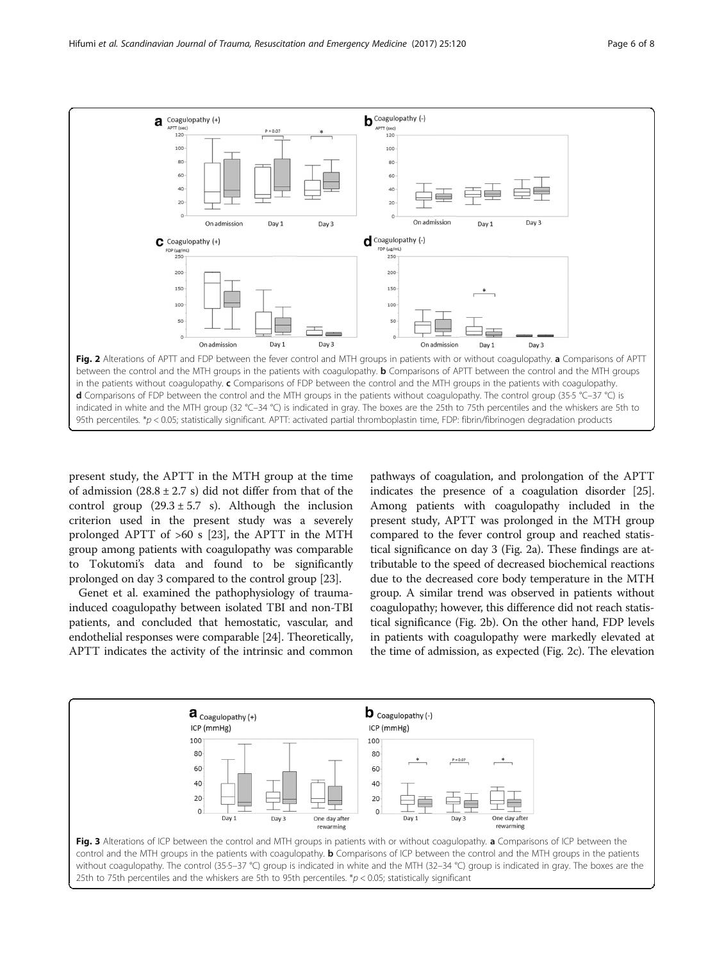<span id="page-5-0"></span>

present study, the APTT in the MTH group at the time of admission  $(28.8 \pm 2.7 \text{ s})$  did not differ from that of the control group  $(29.3 \pm 5.7 \text{ s})$ . Although the inclusion criterion used in the present study was a severely prolonged APTT of >60 s [[23](#page-7-0)], the APTT in the MTH group among patients with coagulopathy was comparable to Tokutomi's data and found to be significantly prolonged on day 3 compared to the control group [\[23\]](#page-7-0).

Genet et al. examined the pathophysiology of traumainduced coagulopathy between isolated TBI and non-TBI patients, and concluded that hemostatic, vascular, and endothelial responses were comparable [[24](#page-7-0)]. Theoretically, APTT indicates the activity of the intrinsic and common

pathways of coagulation, and prolongation of the APTT indicates the presence of a coagulation disorder [[25](#page-7-0)]. Among patients with coagulopathy included in the present study, APTT was prolonged in the MTH group compared to the fever control group and reached statistical significance on day 3 (Fig. 2a). These findings are attributable to the speed of decreased biochemical reactions due to the decreased core body temperature in the MTH group. A similar trend was observed in patients without coagulopathy; however, this difference did not reach statistical significance (Fig. 2b). On the other hand, FDP levels in patients with coagulopathy were markedly elevated at the time of admission, as expected (Fig. 2c). The elevation

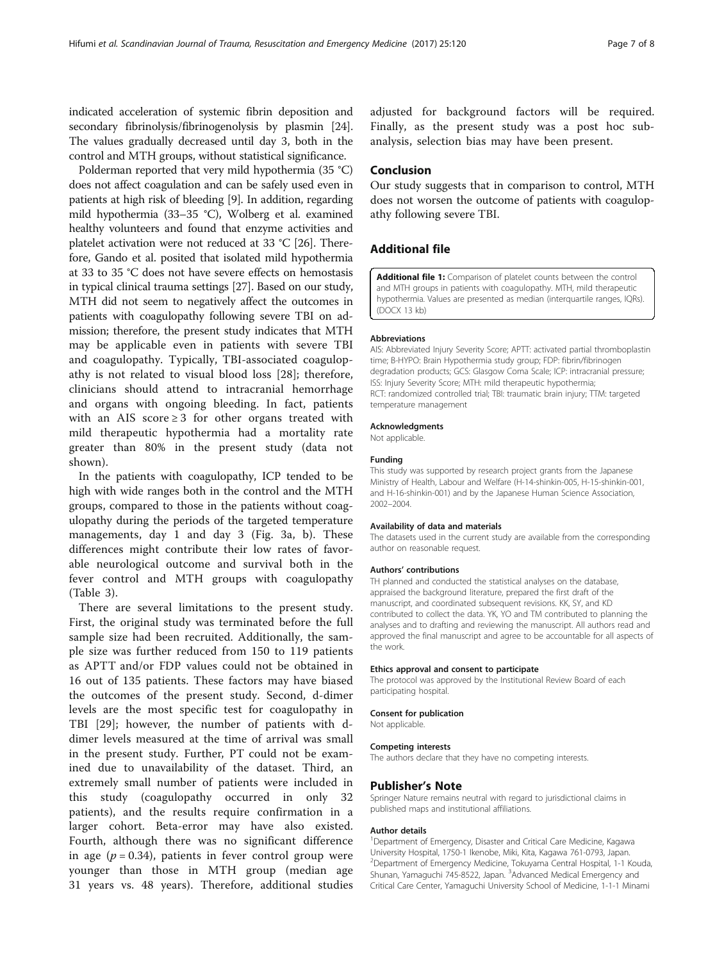<span id="page-6-0"></span>indicated acceleration of systemic fibrin deposition and secondary fibrinolysis/fibrinogenolysis by plasmin [[24](#page-7-0)]. The values gradually decreased until day 3, both in the control and MTH groups, without statistical significance.

Polderman reported that very mild hypothermia (35 °C) does not affect coagulation and can be safely used even in patients at high risk of bleeding [\[9](#page-7-0)]. In addition, regarding mild hypothermia (33–35 °C), Wolberg et al. examined healthy volunteers and found that enzyme activities and platelet activation were not reduced at 33 °C [\[26\]](#page-7-0). Therefore, Gando et al. posited that isolated mild hypothermia at 33 to 35 °C does not have severe effects on hemostasis in typical clinical trauma settings [\[27\]](#page-7-0). Based on our study, MTH did not seem to negatively affect the outcomes in patients with coagulopathy following severe TBI on admission; therefore, the present study indicates that MTH may be applicable even in patients with severe TBI and coagulopathy. Typically, TBI-associated coagulopathy is not related to visual blood loss [[28\]](#page-7-0); therefore, clinicians should attend to intracranial hemorrhage and organs with ongoing bleeding. In fact, patients with an AIS score  $\geq$  3 for other organs treated with mild therapeutic hypothermia had a mortality rate greater than 80% in the present study (data not shown).

In the patients with coagulopathy, ICP tended to be high with wide ranges both in the control and the MTH groups, compared to those in the patients without coagulopathy during the periods of the targeted temperature managements, day 1 and day 3 (Fig. [3a, b](#page-5-0)). These differences might contribute their low rates of favorable neurological outcome and survival both in the fever control and MTH groups with coagulopathy (Table [3\)](#page-4-0).

There are several limitations to the present study. First, the original study was terminated before the full sample size had been recruited. Additionally, the sample size was further reduced from 150 to 119 patients as APTT and/or FDP values could not be obtained in 16 out of 135 patients. These factors may have biased the outcomes of the present study. Second, d-dimer levels are the most specific test for coagulopathy in TBI [[29\]](#page-7-0); however, the number of patients with ddimer levels measured at the time of arrival was small in the present study. Further, PT could not be examined due to unavailability of the dataset. Third, an extremely small number of patients were included in this study (coagulopathy occurred in only 32 patients), and the results require confirmation in a larger cohort. Beta-error may have also existed. Fourth, although there was no significant difference in age  $(p = 0.34)$ , patients in fever control group were younger than those in MTH group (median age 31 years vs. 48 years). Therefore, additional studies adjusted for background factors will be required. Finally, as the present study was a post hoc subanalysis, selection bias may have been present.

## Conclusion

Our study suggests that in comparison to control, MTH does not worsen the outcome of patients with coagulopathy following severe TBI.

## Additional file

[Additional file 1:](dx.doi.org/10.1186/s13049-017-0465-y) Comparison of platelet counts between the control and MTH groups in patients with coagulopathy. MTH, mild therapeutic hypothermia. Values are presented as median (interquartile ranges, IQRs). (DOCX 13 kb)

#### Abbreviations

AIS: Abbreviated Injury Severity Score; APTT: activated partial thromboplastin time; B-HYPO: Brain Hypothermia study group; FDP: fibrin/fibrinogen degradation products; GCS: Glasgow Coma Scale; ICP: intracranial pressure; ISS: Injury Severity Score; MTH: mild therapeutic hypothermia; RCT: randomized controlled trial; TBI: traumatic brain injury; TTM: targeted temperature management

#### Acknowledgments

Not applicable.

#### Funding

This study was supported by research project grants from the Japanese Ministry of Health, Labour and Welfare (H-14-shinkin-005, H-15-shinkin-001, and H-16-shinkin-001) and by the Japanese Human Science Association, 2002–2004.

#### Availability of data and materials

The datasets used in the current study are available from the corresponding author on reasonable request.

#### Authors' contributions

TH planned and conducted the statistical analyses on the database, appraised the background literature, prepared the first draft of the manuscript, and coordinated subsequent revisions. KK, SY, and KD contributed to collect the data. YK, YO and TM contributed to planning the analyses and to drafting and reviewing the manuscript. All authors read and approved the final manuscript and agree to be accountable for all aspects of the work.

#### Ethics approval and consent to participate

The protocol was approved by the Institutional Review Board of each participating hospital.

#### Consent for publication

Not applicable.

#### Competing interests

The authors declare that they have no competing interests.

#### Publisher's Note

Springer Nature remains neutral with regard to jurisdictional claims in published maps and institutional affiliations.

#### Author details

<sup>1</sup>Department of Emergency, Disaster and Critical Care Medicine, Kagawa University Hospital, 1750-1 Ikenobe, Miki, Kita, Kagawa 761-0793, Japan. 2 Department of Emergency Medicine, Tokuyama Central Hospital, 1-1 Kouda, Shunan, Yamaguchi 745-8522, Japan. <sup>3</sup>Advanced Medical Emergency and Critical Care Center, Yamaguchi University School of Medicine, 1-1-1 Minami